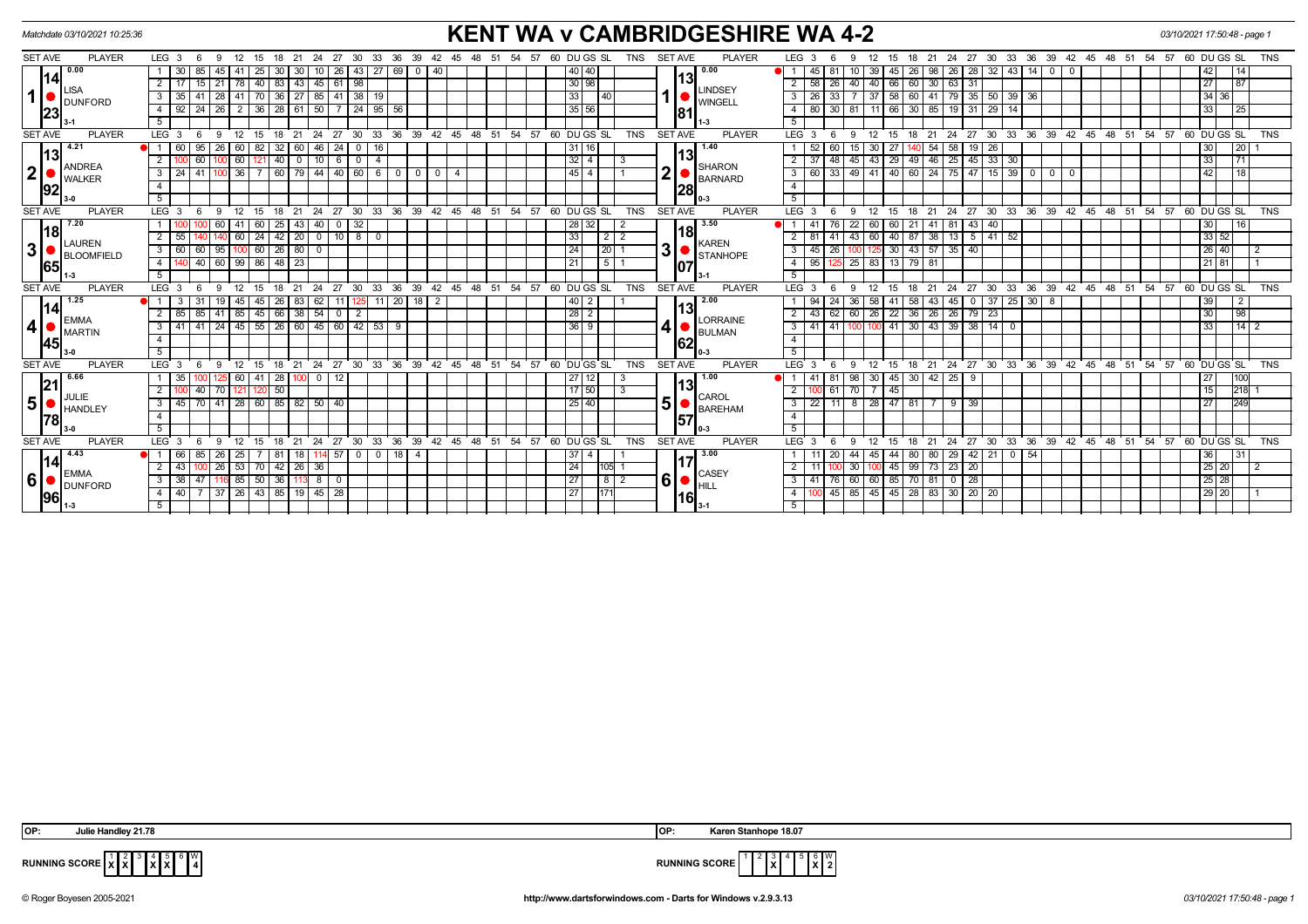| Matchdate 03/10/2021 10:25:36 |                                            |  |                  |                  |                 |                      |                      |                                      |                                           |               |               | <b>KENT WA v CAMBRIDGESHIRE WA 4-2</b><br>60 DU GS SL |                      |                                                   |                |                                 |  |     |           |        |        |                                             |                         |            |                 |     | 03/10/2021 17:50:48 - page 1     |                 |                  |                    |                                                       |            |                   |                    |                |              |                            |                   |                |                                  |      |       |    |                                                   |       |                  |            |  |
|-------------------------------|--------------------------------------------|--|------------------|------------------|-----------------|----------------------|----------------------|--------------------------------------|-------------------------------------------|---------------|---------------|-------------------------------------------------------|----------------------|---------------------------------------------------|----------------|---------------------------------|--|-----|-----------|--------|--------|---------------------------------------------|-------------------------|------------|-----------------|-----|----------------------------------|-----------------|------------------|--------------------|-------------------------------------------------------|------------|-------------------|--------------------|----------------|--------------|----------------------------|-------------------|----------------|----------------------------------|------|-------|----|---------------------------------------------------|-------|------------------|------------|--|
| <b>SET AVE</b>                | <b>PLAYER</b>                              |  | LEG 3            |                  | - 6             | 12 <sup>°</sup><br>9 |                      |                                      | -21                                       | -24           | 27            | 30                                                    | 33<br>36             | 39                                                | 42             | 45                              |  | -51 | -54<br>57 |        |        |                                             |                         | <b>TNS</b> | <b>SET AVE</b>  |     | <b>PLAYER</b>                    |                 | LEG <sub>3</sub> |                    | -9                                                    |            |                   | 21                 | 24             | 27           | 30<br>33                   | 36                | 39             | 42 45 48                         | - 51 | 54    | 57 | 60 DU GS SL                                       |       |                  | <b>TNS</b> |  |
| 1141<br>1                     | 0.00                                       |  |                  | -30              | 85              |                      | 25                   | 30                                   |                                           |               | 26            | 43                                                    | 27                   | 69<br>$\overline{\mathbf{0}}$                     | l 40           |                                 |  |     |           |        |        | 40   40                                     |                         |            |                 |     | 0.00                             |                 |                  | 45                 |                                                       | 39         | 45                | 98                 |                | 26   28      | 32                         | 43   14           | 0              |                                  |      |       |    | 42                                                |       | 14               |            |  |
|                               | <b>LISA</b>                                |  | $\overline{2}$   |                  | 15 <sup>1</sup> | 21<br> 78            |                      | $140$   83   43   45   61            |                                           |               |               | 98                                                    |                      |                                                   |                |                                 |  |     |           |        |        | 30 98                                       |                         |            |                 | 13  |                                  |                 |                  | $2 \mid 58$        | 40<br>26                                              |            |                   | 40 66 60 30        | 63 31          |              |                            |                   |                |                                  |      |       |    | 27                                                |       | 87               |            |  |
|                               | <b>DUNFORD</b>                             |  | 3                | -35              |                 | 28<br>-41            |                      | 70 36 27 85 41                       |                                           |               |               | $38$   19                                             |                      |                                                   |                |                                 |  |     |           |        | 33     |                                             |                         |            |                 |     | <b>LINDSEY</b><br><b>WINGELL</b> |                 |                  | 26                 |                                                       | 37         |                   | 58 60 41 79 35 50  |                |              |                            | $39 \mid 36$      |                |                                  |      |       |    |                                                   | 34 36 |                  |            |  |
|                               | 23                                         |  |                  | 4                | 92              | 24                   | 26<br>$\overline{2}$ |                                      | $36$   28   61   50                       |               |               |                                                       | $24 \mid 95 \mid 56$ |                                                   |                |                                 |  |     |           |        |        |                                             | 35 56                   |            |                 |     | 81                               |                 |                  |                    | 80                                                    | 30         |                   |                    | 11 66 30 85    |              | 19 31 29                   | 14                |                |                                  |      |       |    |                                                   | 33    |                  | 25         |  |
|                               |                                            |  | 5                |                  |                 |                      |                      |                                      |                                           |               |               |                                                       |                      |                                                   |                |                                 |  |     |           |        |        |                                             |                         |            |                 |     | l 1-3                            |                 | -5               |                    |                                                       |            |                   |                    |                |              |                            |                   |                |                                  |      |       |    |                                                   |       |                  |            |  |
| <b>SET AVE</b>                | <b>PLAYER</b>                              |  | LEG 3            |                  | - 6             | 9<br>12              | 15                   | 18                                   | 21                                        | $^{\circ}$ 24 |               |                                                       |                      |                                                   |                |                                 |  |     |           |        |        | 27 30 33 36 39 42 45 48 51 54 57 60 DUGS SL |                         | <b>TNS</b> | <b>SET AVE</b>  |     | <b>PLAYER</b>                    |                 | LEG <sub>3</sub> |                    | - 6<br>9                                              | 12         | 15                | 18                 |                |              |                            |                   |                | 21 24 27 30 33 36 39 42 45 48 51 |      |       |    | $54$ $57$ $60$ $DU$ $GS$ $SL$                     |       |                  | <b>TNS</b> |  |
| 13                            | 4.21                                       |  |                  | - 60 I           | 95              | 26<br>60             | 82                   | 32                                   | -60 I                                     | 46            | 24            | 0   16                                                |                      |                                                   |                |                                 |  |     |           |        |        | l 31 l 16 l                                 |                         |            |                 | 13  | 1.40                             |                 |                  | -52                | 60<br>15                                              | 30         | -27               | 140 54             |                | $58$ 19 26   |                            |                   |                |                                  |      |       |    | 30                                                |       | $\overline{20}$  |            |  |
|                               | <b>ANDREA</b>                              |  | $\overline{2}$   |                  | 60              | 60                   | 121 I                | $(1\,40)$                            | 0                                         | 10 I          | 6             | 0                                                     | 4                    |                                                   |                |                                 |  |     |           |        |        | 32 4                                        | - 3                     |            |                 |     | SHARON                           |                 |                  | 37                 | 45<br>48                                              |            |                   | 43 29 49 46        |                | 25 45 33 30  |                            |                   |                |                                  |      |       |    | 33                                                |       | $\overline{171}$ |            |  |
| 2 <sub>1</sub>                | <b>WALKER</b>                              |  | $\overline{3}$   | $\overline{24}$  |                 | 36                   |                      | $7   60   79   44   40   60   6   0$ |                                           |               |               |                                                       |                      | $\overline{0}$                                    | $\overline{0}$ | $\overline{4}$                  |  |     |           |        |        | 45 4                                        |                         |            | $\mathbf 2$     |     | <b>BARNARD</b>                   |                 |                  | 60                 | $33   49   41   40   60   24   75   47   15   39   0$ |            |                   |                    |                |              |                            |                   | $\overline{0}$ | $\overline{\mathbf{0}}$          |      |       |    | 42                                                |       | $\sqrt{18}$      |            |  |
|                               | 92                                         |  | $\overline{4}$   |                  |                 |                      |                      |                                      |                                           |               |               |                                                       |                      |                                                   |                |                                 |  |     |           |        |        |                                             |                         |            |                 | 28  |                                  |                 |                  |                    |                                                       |            |                   |                    |                |              |                            |                   |                |                                  |      |       |    |                                                   |       |                  |            |  |
|                               |                                            |  | $\overline{5}$   |                  |                 |                      |                      |                                      |                                           |               |               |                                                       |                      |                                                   |                |                                 |  |     |           |        |        |                                             |                         |            |                 |     |                                  |                 | $\overline{5}$   |                    |                                                       |            |                   |                    |                |              |                            |                   |                |                                  |      |       |    |                                                   |       |                  |            |  |
| <b>SET AVE</b>                | <b>PLAYER</b>                              |  | LEG <sub>3</sub> |                  |                 | 12<br>9              | 15                   | 18                                   | 21                                        | 24            | $27 \cdot 30$ |                                                       | ີ 33                 | $36 \quad 39 \quad 42 \quad 45 \quad 48 \quad 51$ |                |                                 |  |     | 54<br>57  |        |        | 60 DUGS SL                                  |                         | <b>TNS</b> | <b>SET AVE</b>  |     | <b>PLAYER</b>                    |                 | LEG <sub>3</sub> |                    | 6<br>9                                                | 12         | 15                | 18                 |                |              |                            |                   |                |                                  |      |       |    | 21 24 27 30 33 36 39 42 45 48 51 54 57 60 DUGS SL |       |                  | <b>TNS</b> |  |
| <u> 18</u><br>3 <sup>1</sup>  | 7.20<br><b>LAUREN</b><br><b>BLOOMFIELD</b> |  |                  |                  |                 | -41                  | 60 I                 | 25                                   | -43                                       | 40            | $\mathbf{0}$  | 32                                                    |                      |                                                   |                |                                 |  |     |           |        |        | 28 32                                       | -2                      |            |                 | 18  | 3.50                             |                 |                  | 41                 | 22                                                    | 60         | 60                | $21 \mid 41$       | 81             | $43 \mid 40$ |                            |                   |                |                                  |      |       |    | 30 <sub>1</sub>                                   |       | 16               |            |  |
|                               |                                            |  |                  |                  |                 | 60                   | 24                   |                                      |                                           |               |               | $42$   20   0   10   8   0                            |                      |                                                   |                |                                 |  |     |           |        | 33     |                                             | $\sqrt{2}$              |            |                 |     | KAREN                            |                 |                  | 81                 | 41                                                    | 43 60      |                   | 40 87 38           |                | $13$ 5 41 52 |                            |                   |                |                                  |      |       |    |                                                   | 33 52 |                  |            |  |
|                               |                                            |  | $3 \mid 60 \mid$ |                  | 95<br>60 I      |                      |                      | $60$   26   80   0                   |                                           |               |               |                                                       |                      |                                                   |                |                                 |  |     |           | 24     |        | $\vert 20 \vert 1$                          | 3 <sup>1</sup>          |            | <b>STANHOPE</b> |     | 45                               | 26              | 125              |                    | 30 43 57 35 40                                        |            |                   |                    |                |              |                            |                   |                |                                  |      | 26 40 | -2 |                                                   |       |                  |            |  |
|                               | 65                                         |  | $\overline{4}$   |                  |                 | 40 60 99 86 48 23    |                      |                                      |                                           |               |               |                                                       |                      |                                                   |                |                                 |  |     |           | l 21 l |        | 1511                                        |                         |            | 107             |     |                                  |                 | 95               | 125 25 83 13 79 81 |                                                       |            |                   |                    |                |              |                            |                   |                |                                  |      |       |    | $21$ 81                                           |       |                  |            |  |
|                               |                                            |  | 5                |                  |                 |                      |                      |                                      |                                           |               |               |                                                       |                      |                                                   |                |                                 |  |     |           |        |        |                                             |                         |            |                 |     |                                  |                 | 5                |                    |                                                       |            |                   |                    |                |              |                            |                   |                |                                  |      |       |    |                                                   |       |                  |            |  |
| <b>SET AVE</b>                | <b>PLAYER</b>                              |  | LEG <sub>3</sub> |                  |                 | 12                   | 15                   | 18                                   | 21                                        | 24            | 27            | 30                                                    | 33<br>36             | 39                                                | $42^{\circ}$   | $45 \quad 48 \quad 51 \quad 54$ |  |     |           |        |        | $57$ 60 DUGS SL                             |                         | <b>TNS</b> | <b>SET AVE</b>  |     | <b>PLAYER</b>                    |                 | LEG <sub>3</sub> |                    | -9                                                    | 12         | 15                | 21<br>-18          | 24             | 27           | $30^{\circ}$<br>$33^\circ$ |                   | $36 \quad 39$  | $42 \quad 45 \quad 48 \quad 51$  |      | 54    | 57 | 60 DUGS SL                                        |       |                  | <b>TNS</b> |  |
|                               | 1.25<br> 14                                |  |                  |                  |                 | 45                   |                      | 26                                   | 83                                        | 62            |               |                                                       | $11$   20            |                                                   | $18$   2       |                                 |  |     |           |        | 40     | $\overline{2}$                              |                         |            |                 | 13  | 2.00                             |                 |                  | 94                 |                                                       | 58         |                   | 43                 | 45             |              | 37                         | $25 \mid 30 \mid$ | - 8            |                                  |      |       |    |                                                   |       | $\vert 2 \vert$  |            |  |
|                               | <b>EMMA</b>                                |  |                  | $\overline{2}$   | 85              | 85                   | 85<br>41             | 45                                   | 66                                        | 38 54         |               | $\mathbf 0$                                           | 2                    |                                                   |                |                                 |  |     |           |        |        |                                             |                         |            |                 |     |                                  | <b>LORRAINE</b> |                  | 2                  | 43                                                    | 62<br>- 60 | 26                |                    | 22 36 26       |              | $26$ 79 23                 |                   |                |                                  |      |       |    |                                                   | 30    |                  | 98         |  |
| 4 •                           | <b>MARTIN</b>                              |  |                  | 3 <sup>1</sup>   | l 41            | 41                   |                      |                                      | $124$ $145$ $155$ $126$ $160$ $145$ $160$ |               |               |                                                       | $42 \mid 53 \mid$    |                                                   | 9              |                                 |  |     |           |        |        |                                             | 36   9                  |            |                 |     |                                  | <b>BULMAN</b>   |                  | 3 I                | 41                                                    | 41         | 100 <sub>1</sub>  | 41                 | 30 43 39 38 14 |              |                            | $\overline{0}$    |                |                                  |      |       |    |                                                   | 33    |                  | 142        |  |
|                               | 145I                                       |  |                  | 4                |                 |                      |                      |                                      |                                           |               |               |                                                       |                      |                                                   |                |                                 |  |     |           |        |        |                                             |                         |            |                 |     | 62                               |                 |                  |                    |                                                       |            |                   |                    |                |              |                            |                   |                |                                  |      |       |    |                                                   |       |                  |            |  |
|                               |                                            |  | 5 <sup>5</sup>   |                  |                 |                      |                      |                                      |                                           |               |               |                                                       |                      |                                                   |                |                                 |  |     |           |        |        |                                             |                         |            |                 |     | 0-3                              |                 | 5 <sup>5</sup>   |                    |                                                       |            |                   |                    |                |              |                            |                   |                |                                  |      |       |    |                                                   |       |                  |            |  |
| <b>SET AVE</b>                | <b>PLAYER</b>                              |  | $LEG$ 3          |                  |                 | 12<br>$\mathbf{Q}$   | 15                   | 18                                   | 21                                        |               |               | 24 27 30 33 36 39 42 45 48 51                         |                      |                                                   |                |                                 |  |     | 54<br>57  |        |        | 60 DU GS SL                                 |                         | <b>TNS</b> | <b>SET AVE</b>  |     | <b>PLAYER</b>                    |                 | LEG <sub>3</sub> |                    | -6<br>$\mathbf{Q}$                                    | 12         | 15                | 18<br>21           |                |              |                            |                   |                | 24 27 30 33 36 39 42 45 48 51    |      |       |    | $54$ $57$ 60 DU GS SL                             |       |                  | <b>TNS</b> |  |
|                               | 6.66<br>21                                 |  |                  | 35               |                 | 60                   |                      | $41 \mid 28$                         |                                           | $0$ 12        |               |                                                       |                      |                                                   |                |                                 |  |     |           |        |        | 27   12                                     |                         |            |                 | 13  | 1.00                             |                 |                  | 41                 | 81<br>98                                              |            |                   | 30 45 30 42 25 9   |                |              |                            |                   |                |                                  |      |       |    | 27                                                |       | 100              |            |  |
|                               | <b>JULIE</b>                               |  | $\overline{2}$   |                  | 40              | 70<br>  121          |                      | $120$ 50                             |                                           |               |               |                                                       |                      |                                                   |                |                                 |  |     |           |        |        | 17 50                                       | $\overline{\mathbf{3}}$ |            |                 |     | CAROL                            |                 | 2                |                    | 61<br>70                                              |            | $7 \overline{45}$ |                    |                |              |                            |                   |                |                                  |      |       |    | 15                                                |       | 218              |            |  |
| 5  <sub>o</sub>               | <b>HANDLEY</b>                             |  | 3                | 45 I             | 70   41         |                      |                      | 28 60 85 82 50 40                    |                                           |               |               |                                                       |                      |                                                   |                |                                 |  |     |           |        |        | 25 40                                       |                         |            | 5 <sup>1</sup>  |     | BAREHAM                          |                 |                  | 22                 | -11<br>-8                                             |            | 28 47 81          | $7^{\circ}$        |                | 9   39       |                            |                   |                |                                  |      |       |    | 27                                                |       | 249              |            |  |
|                               | 1781                                       |  | 4                |                  |                 |                      |                      |                                      |                                           |               |               |                                                       |                      |                                                   |                |                                 |  |     |           |        |        |                                             |                         |            |                 | 157 |                                  |                 | $\overline{4}$   |                    |                                                       |            |                   |                    |                |              |                            |                   |                |                                  |      |       |    |                                                   |       |                  |            |  |
|                               |                                            |  | 5                |                  |                 |                      |                      |                                      |                                           |               |               |                                                       |                      |                                                   |                |                                 |  |     |           |        |        |                                             |                         |            |                 |     |                                  |                 | 5                |                    |                                                       |            |                   |                    |                |              |                            |                   |                |                                  |      |       |    |                                                   |       |                  |            |  |
| <b>SET AVE</b>                | <b>PLAYER</b>                              |  | LEG <sub>3</sub> |                  | - 6             | 12<br>-9             | 15                   | 18                                   | $21 \quad 24$                             |               |               |                                                       |                      |                                                   |                |                                 |  |     |           |        |        | 27 30 33 36 39 42 45 48 51 54 57 60 DUGS SL |                         | <b>TNS</b> | <b>SET AVE</b>  |     | <b>PLAYER</b>                    |                 | LEG <sub>3</sub> |                    | - 6<br>- 9                                            | 12 15      |                   | 18 21 24           |                |              |                            |                   |                |                                  |      |       |    | 27 30 33 36 39 42 45 48 51 54 57 60 DUGS SL       |       |                  | <b>TNS</b> |  |
|                               | 4.43                                       |  | $\mathbf{1}$     | 66               | 85              | 26   25              |                      | 7   81                               | 18 I                                      | 114 57        |               | $\cdot$ 0 $\cdot$                                     | $0$   18             | $\overline{4}$                                    |                |                                 |  |     |           |        | I 37 I | 4                                           |                         |            |                 |     | 3.00                             |                 |                  |                    | 20<br>44                                              |            |                   | 45 44 80 80        |                | $29$ 42 21   |                            | $0 \mid 54$       |                |                                  |      |       |    | 36                                                |       | 31               |            |  |
| 14 <br> 6                     | <b>EMMA</b>                                |  | $\overline{2}$   | 43               |                 |                      |                      | 26   53   70   42   26   36          |                                           |               |               |                                                       |                      |                                                   |                |                                 |  |     |           |        | 24     |                                             | $105$ 1                 |            |                 |     | <b>CASEY</b>                     |                 | 2                | 11                 | $0\overline{30}$                                      |            |                   | 100 45 99 73 23 20 |                |              |                            |                   |                |                                  |      |       |    |                                                   | 25 20 | 2                |            |  |
|                               | <b>DUNFORD</b>                             |  | 3                | $\overline{38}$  |                 | 116 85               | 50                   | 36                                   |                                           | 800           |               |                                                       |                      |                                                   |                |                                 |  |     |           |        | 27     |                                             | $82$                    |            |                 |     |                                  |                 |                  | 41                 | 76                                                    |            |                   | 60 60 85 70 81     |                | $0 \mid 28$  |                            |                   |                |                                  |      |       |    |                                                   | 25 28 |                  |            |  |
|                               | <b>96</b>                                  |  | 4 <sup>1</sup>   | $\overline{140}$ |                 | l 37                 |                      | 26   43   85   19   45   28          |                                           |               |               |                                                       |                      |                                                   |                |                                 |  |     |           |        | 27     |                                             | 171                     |            |                 | 16  |                                  |                 |                  |                    | 45   85   45   45   28   83   30   20   20            |            |                   |                    |                |              |                            |                   |                |                                  |      |       |    |                                                   | 29 20 |                  |            |  |
|                               |                                            |  |                  |                  |                 |                      |                      |                                      |                                           |               |               |                                                       |                      |                                                   |                |                                 |  |     |           |        |        |                                             |                         |            |                 |     |                                  |                 |                  |                    |                                                       |            |                   |                    |                |              |                            |                   |                |                                  |      |       |    |                                                   |       |                  |            |  |



 4 **X X** W



**RUNNING SCORE**  $\begin{bmatrix} 1 \\ \mathbf{X} \end{bmatrix} \begin{bmatrix} 2 \\ \mathbf{X} \end{bmatrix}$